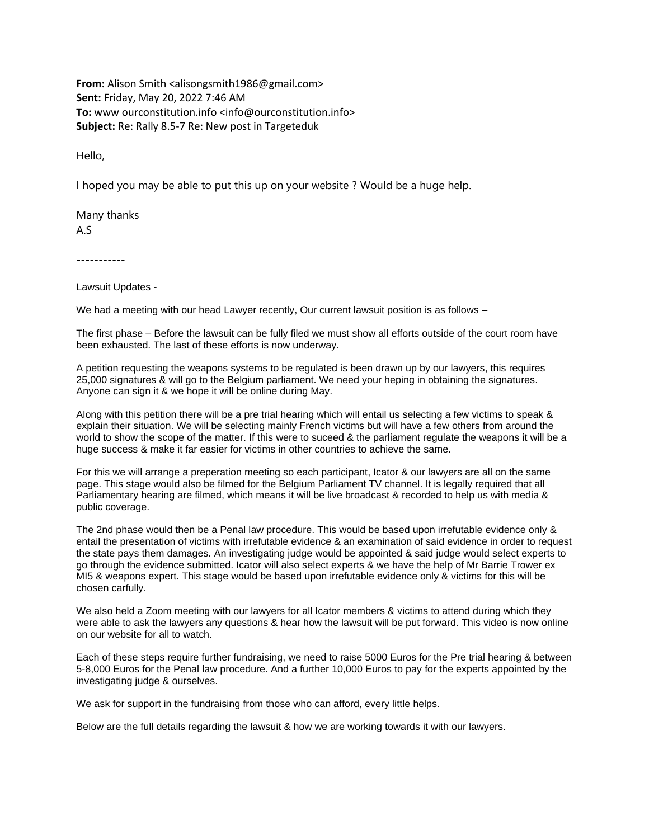**From:** Alison Smith <alisongsmith1986@gmail.com> **Sent:** Friday, May 20, 2022 7:46 AM **To:** www ourconstitution.info <info@ourconstitution.info> **Subject:** Re: Rally 8.5-7 Re: New post in Targeteduk

Hello,

I hoped you may be able to put this up on your website ? Would be a huge help.

Many thanks A.S

-----------

Lawsuit Updates -

We had a meeting with our head Lawyer recently, Our current lawsuit position is as follows –

The first phase – Before the lawsuit can be fully filed we must show all efforts outside of the court room have been exhausted. The last of these efforts is now underway.

A petition requesting the weapons systems to be regulated is been drawn up by our lawyers, this requires 25,000 signatures & will go to the Belgium parliament. We need your heping in obtaining the signatures. Anyone can sign it & we hope it will be online during May.

Along with this petition there will be a pre trial hearing which will entail us selecting a few victims to speak & explain their situation. We will be selecting mainly French victims but will have a few others from around the world to show the scope of the matter. If this were to suceed & the parliament regulate the weapons it will be a huge success & make it far easier for victims in other countries to achieve the same.

For this we will arrange a preperation meeting so each participant, Icator & our lawyers are all on the same page. This stage would also be filmed for the Belgium Parliament TV channel. It is legally required that all Parliamentary hearing are filmed, which means it will be live broadcast & recorded to help us with media & public coverage.

The 2nd phase would then be a Penal law procedure. This would be based upon irrefutable evidence only & entail the presentation of victims with irrefutable evidence & an examination of said evidence in order to request the state pays them damages. An investigating judge would be appointed & said judge would select experts to go through the evidence submitted. Icator will also select experts & we have the help of Mr Barrie Trower ex MI5 & weapons expert. This stage would be based upon irrefutable evidence only & victims for this will be chosen carfully.

We also held a Zoom meeting with our lawyers for all Icator members & victims to attend during which they were able to ask the lawyers any questions & hear how the lawsuit will be put forward. This video is now online on our website for all to watch.

Each of these steps require further fundraising, we need to raise 5000 Euros for the Pre trial hearing & between 5-8,000 Euros for the Penal law procedure. And a further 10,000 Euros to pay for the experts appointed by the investigating judge & ourselves.

We ask for support in the fundraising from those who can afford, every little helps.

Below are the full details regarding the lawsuit & how we are working towards it with our lawyers.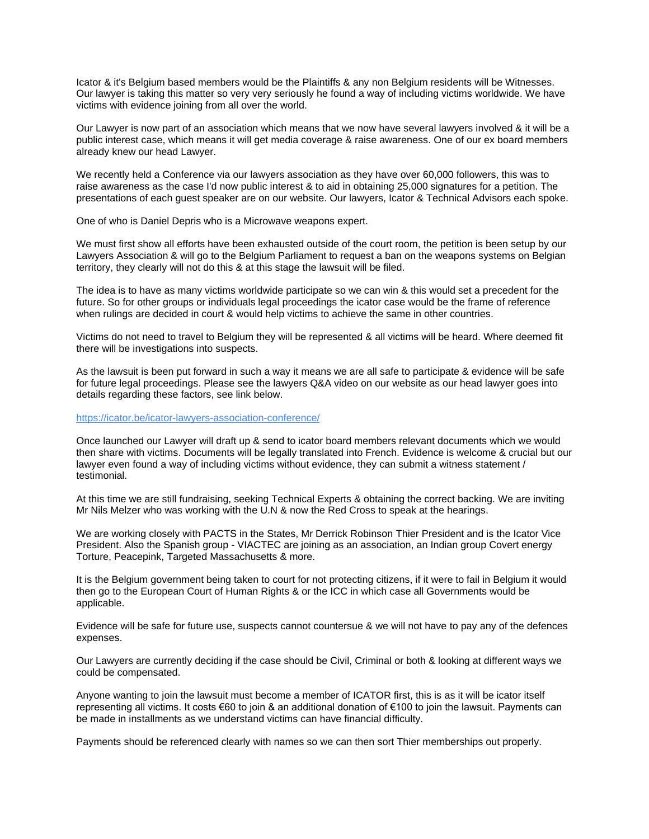Icator & it's Belgium based members would be the Plaintiffs & any non Belgium residents will be Witnesses. Our lawyer is taking this matter so very very seriously he found a way of including victims worldwide. We have victims with evidence joining from all over the world.

Our Lawyer is now part of an association which means that we now have several lawyers involved & it will be a public interest case, which means it will get media coverage & raise awareness. One of our ex board members already knew our head Lawyer.

We recently held a Conference via our lawyers association as they have over 60,000 followers, this was to raise awareness as the case I'd now public interest & to aid in obtaining 25,000 signatures for a petition. The presentations of each guest speaker are on our website. Our lawyers, Icator & Technical Advisors each spoke.

One of who is Daniel Depris who is a Microwave weapons expert.

We must first show all efforts have been exhausted outside of the court room, the petition is been setup by our Lawyers Association & will go to the Belgium Parliament to request a ban on the weapons systems on Belgian territory, they clearly will not do this & at this stage the lawsuit will be filed.

The idea is to have as many victims worldwide participate so we can win & this would set a precedent for the future. So for other groups or individuals legal proceedings the icator case would be the frame of reference when rulings are decided in court & would help victims to achieve the same in other countries.

Victims do not need to travel to Belgium they will be represented & all victims will be heard. Where deemed fit there will be investigations into suspects.

As the lawsuit is been put forward in such a way it means we are all safe to participate & evidence will be safe for future legal proceedings. Please see the lawyers Q&A video on our website as our head lawyer goes into details regarding these factors, see link below.

<https://icator.be/icator-lawyers-association-conference/>

Once launched our Lawyer will draft up & send to icator board members relevant documents which we would then share with victims. Documents will be legally translated into French. Evidence is welcome & crucial but our lawyer even found a way of including victims without evidence, they can submit a witness statement / testimonial.

At this time we are still fundraising, seeking Technical Experts & obtaining the correct backing. We are inviting Mr Nils Melzer who was working with the U.N & now the Red Cross to speak at the hearings.

We are working closely with PACTS in the States, Mr Derrick Robinson Thier President and is the Icator Vice President. Also the Spanish group - VIACTEC are joining as an association, an Indian group Covert energy Torture, Peacepink, Targeted Massachusetts & more.

It is the Belgium government being taken to court for not protecting citizens, if it were to fail in Belgium it would then go to the European Court of Human Rights & or the ICC in which case all Governments would be applicable.

Evidence will be safe for future use, suspects cannot countersue & we will not have to pay any of the defences expenses.

Our Lawyers are currently deciding if the case should be Civil, Criminal or both & looking at different ways we could be compensated.

Anyone wanting to join the lawsuit must become a member of ICATOR first, this is as it will be icator itself representing all victims. It costs €60 to join & an additional donation of €100 to join the lawsuit. Payments can be made in installments as we understand victims can have financial difficulty.

Payments should be referenced clearly with names so we can then sort Thier memberships out properly.